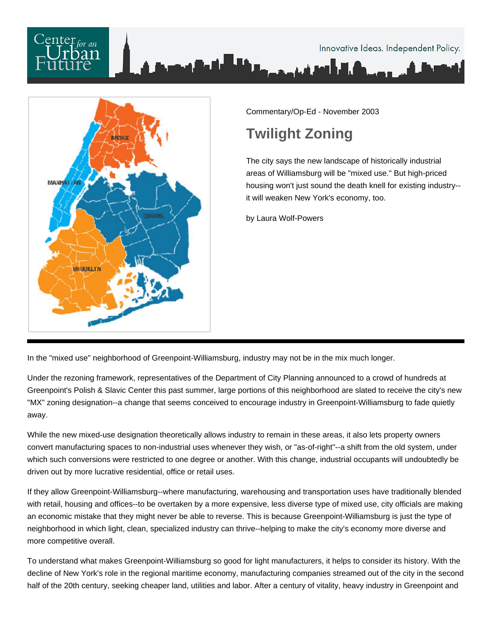



Commentary/Op-Ed - November 2003

## **Twilight Zoning**

The city says the new landscape of historically industrial areas of Williamsburg will be "mixed use." But high-priced housing won't just sound the death knell for existing industry- it will weaken New York's economy, too.

by Laura Wolf-Powers

In the "mixed use" neighborhood of Greenpoint-Williamsburg, industry may not be in the mix much longer.

Under the rezoning framework, representatives of the Department of City Planning announced to a crowd of hundreds at Greenpoint's Polish & Slavic Center this past summer, large portions of this neighborhood are slated to receive the city's new "MX" zoning designation--a change that seems conceived to encourage industry in Greenpoint-Williamsburg to fade quietly away.

While the new mixed-use designation theoretically allows industry to remain in these areas, it also lets property owners convert manufacturing spaces to non-industrial uses whenever they wish, or "as-of-right"--a shift from the old system, under which such conversions were restricted to one degree or another. With this change, industrial occupants will undoubtedly be driven out by more lucrative residential, office or retail uses.

If they allow Greenpoint-Williamsburg--where manufacturing, warehousing and transportation uses have traditionally blended with retail, housing and offices--to be overtaken by a more expensive, less diverse type of mixed use, city officials are making an economic mistake that they might never be able to reverse. This is because Greenpoint-Williamsburg is just the type of neighborhood in which light, clean, specialized industry can thrive--helping to make the city's economy more diverse and more competitive overall.

To understand what makes Greenpoint-Williamsburg so good for light manufacturers, it helps to consider its history. With the decline of New York's role in the regional maritime economy, manufacturing companies streamed out of the city in the second half of the 20th century, seeking cheaper land, utilities and labor. After a century of vitality, heavy industry in Greenpoint and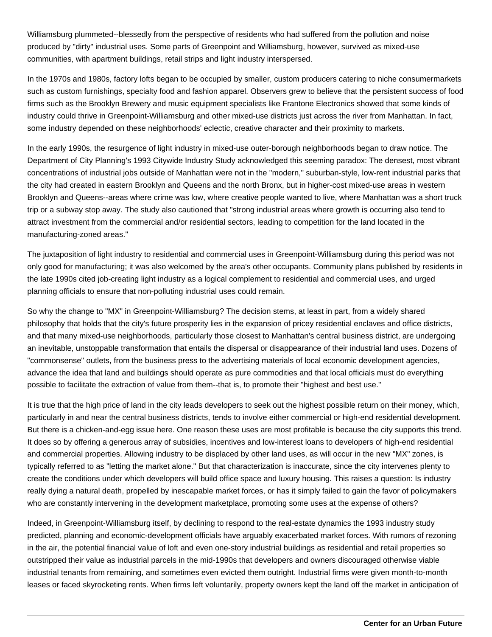Williamsburg plummeted--blessedly from the perspective of residents who had suffered from the pollution and noise produced by "dirty" industrial uses. Some parts of Greenpoint and Williamsburg, however, survived as mixed-use communities, with apartment buildings, retail strips and light industry interspersed.

In the 1970s and 1980s, factory lofts began to be occupied by smaller, custom producers catering to niche consumermarkets such as custom furnishings, specialty food and fashion apparel. Observers grew to believe that the persistent success of food firms such as the Brooklyn Brewery and music equipment specialists like Frantone Electronics showed that some kinds of industry could thrive in Greenpoint-Williamsburg and other mixed-use districts just across the river from Manhattan. In fact, some industry depended on these neighborhoods' eclectic, creative character and their proximity to markets.

In the early 1990s, the resurgence of light industry in mixed-use outer-borough neighborhoods began to draw notice. The Department of City Planning's 1993 Citywide Industry Study acknowledged this seeming paradox: The densest, most vibrant concentrations of industrial jobs outside of Manhattan were not in the "modern," suburban-style, low-rent industrial parks that the city had created in eastern Brooklyn and Queens and the north Bronx, but in higher-cost mixed-use areas in western Brooklyn and Queens--areas where crime was low, where creative people wanted to live, where Manhattan was a short truck trip or a subway stop away. The study also cautioned that "strong industrial areas where growth is occurring also tend to attract investment from the commercial and/or residential sectors, leading to competition for the land located in the manufacturing-zoned areas."

The juxtaposition of light industry to residential and commercial uses in Greenpoint-Williamsburg during this period was not only good for manufacturing; it was also welcomed by the area's other occupants. Community plans published by residents in the late 1990s cited job-creating light industry as a logical complement to residential and commercial uses, and urged planning officials to ensure that non-polluting industrial uses could remain.

So why the change to "MX" in Greenpoint-Williamsburg? The decision stems, at least in part, from a widely shared philosophy that holds that the city's future prosperity lies in the expansion of pricey residential enclaves and office districts, and that many mixed-use neighborhoods, particularly those closest to Manhattan's central business district, are undergoing an inevitable, unstoppable transformation that entails the dispersal or disappearance of their industrial land uses. Dozens of "commonsense" outlets, from the business press to the advertising materials of local economic development agencies, advance the idea that land and buildings should operate as pure commodities and that local officials must do everything possible to facilitate the extraction of value from them--that is, to promote their "highest and best use."

It is true that the high price of land in the city leads developers to seek out the highest possible return on their money, which, particularly in and near the central business districts, tends to involve either commercial or high-end residential development. But there is a chicken-and-egg issue here. One reason these uses are most profitable is because the city supports this trend. It does so by offering a generous array of subsidies, incentives and low-interest loans to developers of high-end residential and commercial properties. Allowing industry to be displaced by other land uses, as will occur in the new "MX" zones, is typically referred to as "letting the market alone." But that characterization is inaccurate, since the city intervenes plenty to create the conditions under which developers will build office space and luxury housing. This raises a question: Is industry really dying a natural death, propelled by inescapable market forces, or has it simply failed to gain the favor of policymakers who are constantly intervening in the development marketplace, promoting some uses at the expense of others?

Indeed, in Greenpoint-Williamsburg itself, by declining to respond to the real-estate dynamics the 1993 industry study predicted, planning and economic-development officials have arguably exacerbated market forces. With rumors of rezoning in the air, the potential financial value of loft and even one-story industrial buildings as residential and retail properties so outstripped their value as industrial parcels in the mid-1990s that developers and owners discouraged otherwise viable industrial tenants from remaining, and sometimes even evicted them outright. Industrial firms were given month-to-month leases or faced skyrocketing rents. When firms left voluntarily, property owners kept the land off the market in anticipation of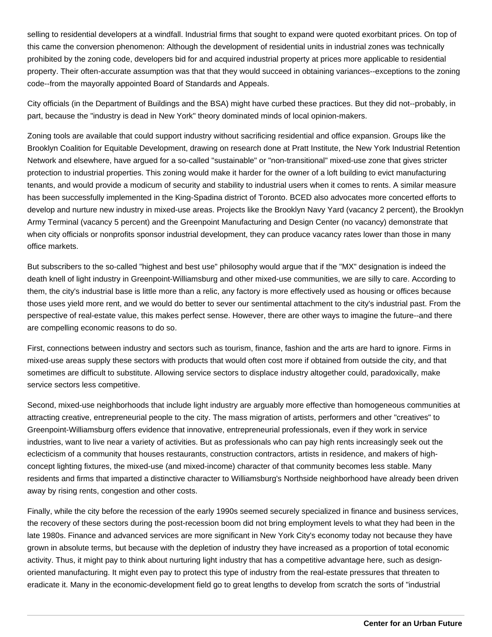selling to residential developers at a windfall. Industrial firms that sought to expand were quoted exorbitant prices. On top of this came the conversion phenomenon: Although the development of residential units in industrial zones was technically prohibited by the zoning code, developers bid for and acquired industrial property at prices more applicable to residential property. Their often-accurate assumption was that that they would succeed in obtaining variances--exceptions to the zoning code--from the mayorally appointed Board of Standards and Appeals.

City officials (in the Department of Buildings and the BSA) might have curbed these practices. But they did not--probably, in part, because the "industry is dead in New York" theory dominated minds of local opinion-makers.

Zoning tools are available that could support industry without sacrificing residential and office expansion. Groups like the Brooklyn Coalition for Equitable Development, drawing on research done at Pratt Institute, the New York Industrial Retention Network and elsewhere, have argued for a so-called "sustainable" or "non-transitional" mixed-use zone that gives stricter protection to industrial properties. This zoning would make it harder for the owner of a loft building to evict manufacturing tenants, and would provide a modicum of security and stability to industrial users when it comes to rents. A similar measure has been successfully implemented in the King-Spadina district of Toronto. BCED also advocates more concerted efforts to develop and nurture new industry in mixed-use areas. Projects like the Brooklyn Navy Yard (vacancy 2 percent), the Brooklyn Army Terminal (vacancy 5 percent) and the Greenpoint Manufacturing and Design Center (no vacancy) demonstrate that when city officials or nonprofits sponsor industrial development, they can produce vacancy rates lower than those in many office markets.

But subscribers to the so-called "highest and best use" philosophy would argue that if the "MX" designation is indeed the death knell of light industry in Greenpoint-Williamsburg and other mixed-use communities, we are silly to care. According to them, the city's industrial base is little more than a relic, any factory is more effectively used as housing or offices because those uses yield more rent, and we would do better to sever our sentimental attachment to the city's industrial past. From the perspective of real-estate value, this makes perfect sense. However, there are other ways to imagine the future--and there are compelling economic reasons to do so.

First, connections between industry and sectors such as tourism, finance, fashion and the arts are hard to ignore. Firms in mixed-use areas supply these sectors with products that would often cost more if obtained from outside the city, and that sometimes are difficult to substitute. Allowing service sectors to displace industry altogether could, paradoxically, make service sectors less competitive.

Second, mixed-use neighborhoods that include light industry are arguably more effective than homogeneous communities at attracting creative, entrepreneurial people to the city. The mass migration of artists, performers and other "creatives" to Greenpoint-Williamsburg offers evidence that innovative, entrepreneurial professionals, even if they work in service industries, want to live near a variety of activities. But as professionals who can pay high rents increasingly seek out the eclecticism of a community that houses restaurants, construction contractors, artists in residence, and makers of highconcept lighting fixtures, the mixed-use (and mixed-income) character of that community becomes less stable. Many residents and firms that imparted a distinctive character to Williamsburg's Northside neighborhood have already been driven away by rising rents, congestion and other costs.

Finally, while the city before the recession of the early 1990s seemed securely specialized in finance and business services, the recovery of these sectors during the post-recession boom did not bring employment levels to what they had been in the late 1980s. Finance and advanced services are more significant in New York City's economy today not because they have grown in absolute terms, but because with the depletion of industry they have increased as a proportion of total economic activity. Thus, it might pay to think about nurturing light industry that has a competitive advantage here, such as designoriented manufacturing. It might even pay to protect this type of industry from the real-estate pressures that threaten to eradicate it. Many in the economic-development field go to great lengths to develop from scratch the sorts of "industrial